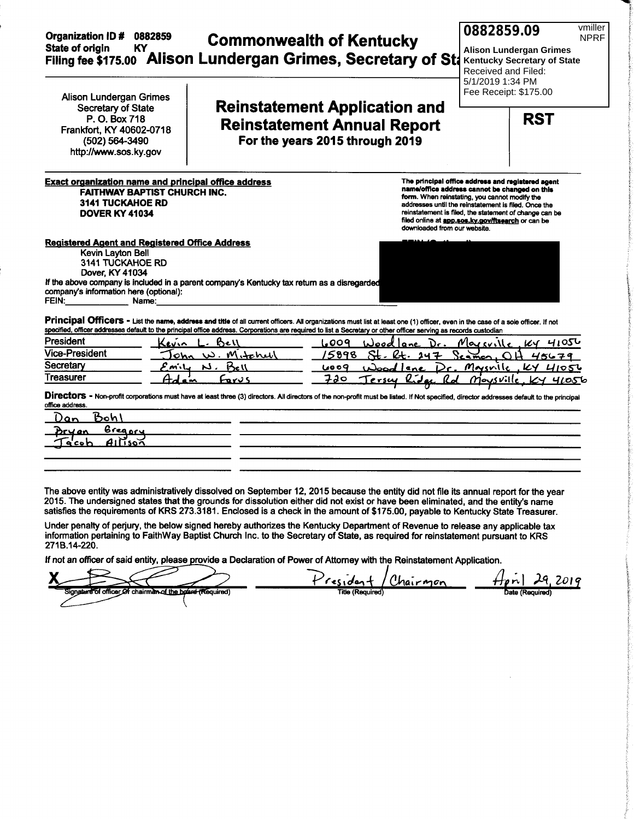| <b>Organization ID#</b><br><b>State of origin</b><br>KY.                                                                                                                      | 0882859                                                                                            | <b>Commonwealth of Kentucky</b><br>Filing fee \$175.00 Alison Lundergan Grimes, Secretary of Sta                                                                                                                                                                                                                                                     | vmiller<br>0882859.09<br><b>NPRF</b><br><b>Alison Lundergan Grimes</b><br><b>Kentucky Secretary of State</b><br>Received and Filed:<br>5/1/2019 1:34 PM                                                                                                                                                                    |
|-------------------------------------------------------------------------------------------------------------------------------------------------------------------------------|----------------------------------------------------------------------------------------------------|------------------------------------------------------------------------------------------------------------------------------------------------------------------------------------------------------------------------------------------------------------------------------------------------------------------------------------------------------|----------------------------------------------------------------------------------------------------------------------------------------------------------------------------------------------------------------------------------------------------------------------------------------------------------------------------|
| <b>Alison Lundergan Grimes</b><br>Secretary of State<br>P. O. Box 718<br>Frankfort, KY 40602-0718<br>(502) 564-3490<br>http://www.sos.ky.gov                                  |                                                                                                    | <b>Reinstatement Application and</b><br><b>Reinstatement Annual Report</b><br>For the years 2015 through 2019                                                                                                                                                                                                                                        | Fee Receipt: \$175.00<br><b>RST</b>                                                                                                                                                                                                                                                                                        |
| <b>3141 TUCKAHOE RD</b><br><b>DOVER KY 41034</b>                                                                                                                              | <b>Exact organization name and principal office address</b><br><b>FAITHWAY BAPTIST CHURCH INC.</b> | downloaded from our website.                                                                                                                                                                                                                                                                                                                         | The principal office address and registered agent<br>name/office address cannot be changed on this<br>form. When reinstating, you cannot modify the<br>addresses until the reinstatement is filed. Once the<br>reinstatement is filed, the statement of change can be<br>filed online at app.sos.ky.gov/ftsearch or can be |
| <b>Registered Agent and Registered Office Address</b><br>Kevin Layton Bell<br>3141 TUCKAHOE RD<br>Dover, KY 41034<br>company's information here (optional):<br>FEIN:<br>Name: | If the above company is included in a parent company's Kentucky tax return as a disregarded        | Principal Officers - List the name, address and title of all current officers. All organizations must list at least one (1) officer, even in the case of a sole officer. If not<br>specified, officer addresses default to the principal office address. Corporations are required to list a Secretary or other officer serving as records custodian |                                                                                                                                                                                                                                                                                                                            |
| President                                                                                                                                                                     | Bell<br>Ceuin                                                                                      | 1.009                                                                                                                                                                                                                                                                                                                                                | 41056<br>ا امر ډر <i>۱</i><br>KY                                                                                                                                                                                                                                                                                           |
| Vice-President                                                                                                                                                                | W. Mitchell<br>ohn                                                                                 | 5898                                                                                                                                                                                                                                                                                                                                                 | 45679<br>$i$ amon                                                                                                                                                                                                                                                                                                          |
| Secretary                                                                                                                                                                     | Bell<br>N.<br>がし                                                                                   | 6009                                                                                                                                                                                                                                                                                                                                                 | Massile<br>$k$ y $H$ 105 $k$                                                                                                                                                                                                                                                                                               |
| Treasurer                                                                                                                                                                     | Farus<br><b>a</b> <sub>m</sub>                                                                     | 720<br><u>lidar</u><br>ersey                                                                                                                                                                                                                                                                                                                         | <i>Mousville</i><br>46056                                                                                                                                                                                                                                                                                                  |
| office address.<br><u>Bohl</u><br>Dan<br><u>Greapry</u><br><b>A11īso⊼</b><br>a co n                                                                                           |                                                                                                    | Directors - Non-profit corporations must have at least three (3) directors. All directors of the non-profit must be listed. If Not specified, director addresses default to the principal                                                                                                                                                            |                                                                                                                                                                                                                                                                                                                            |

The above entity was administratively dissolved on September 12, 2015 because the entity did not file its annual report for the year 2015. The undersigned states that the grounds for dissolution either did not exist or have been eliminated, and the entity's name satisfies the requirements of KRS 273.3181. Enclosed is a check in the amount of \$175.00, payable to Kentucky State Treasurer.

Under penalty of perjury, the below signed hereby authorizes the Kentucky Department of Revenue to release any applicable tax<br>information pertaining to FaithWay Baptist Church Inc. to the Secretary of State, as required fo 271B.14-220.

If not an officer of said entity, please provide a Declaration of Power of Attorney with the Reinstatement Application.

 $H$ pril  $2019$ residen. 29, <u>Chairmon</u> Title (Required Signe office chairman o<u>f the bo</u>o <del>a (Re</del>quired)